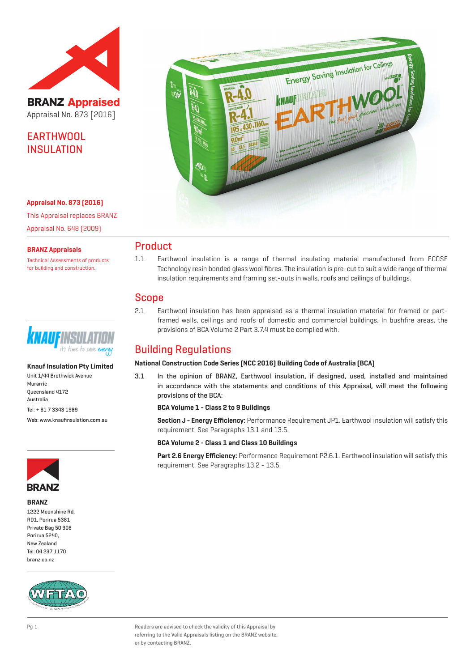

**BRANZ Appraised** Appraisal No. 873 [2016]

EARTHWOOL **INSULATION** 

#### **Appraisal No. 873 (2016)**

This Appraisal replaces BRANZ Appraisal No. 648 (2009)

#### **BRANZ Appraisals**

Technical Assessments of products for building and construction.



#### **Knauf Insulation Pty Limited**

Unit 1/44 Brothwick Avenue Murarrie Queensland 4172 Australia Tel: + 61 7 3343 1989 Web: www.knaufinsulation.com.au



#### **BRANZ**

1222 Moonshine Rd, RD1, Porirua 5381 Private Bag 50 908 Porirua 5240, New Zealand Tel: 04 237 1170 branz.co.nz





## Product

1.1 Earthwool insulation is a range of thermal insulating material manufactured from ECOSE Technology resin bonded glass wool fibres. The insulation is pre-cut to suit a wide range of thermal insulation requirements and framing set-outs in walls, roofs and ceilings of buildings.

## Scope

2.1 Earthwool insulation has been appraised as a thermal insulation material for framed or partframed walls, ceilings and roofs of domestic and commercial buildings. In bushfire areas, the provisions of BCA Volume 2 Part 3.7.4 must be complied with.

## Building Regulations

#### **National Construction Code Series (NCC 2016) Building Code of Australia (BCA)**

3.1 In the opinion of BRANZ, Earthwool insulation, if designed, used, installed and maintained in accordance with the statements and conditions of this Appraisal, will meet the following provisions of the BCA:

**BCA Volume 1 - Class 2 to 9 Buildings**

**Section J - Energy Efficiency:** Performance Requirement JP1. Earthwool insulation will satisfy this requirement. See Paragraphs 13.1 and 13.5.

**BCA Volume 2 - Class 1 and Class 10 Buildings**

**Part 2.6 Energy Efficiency:** Performance Requirement P2.6.1. Earthwool insulation will satisfy this requirement. See Paragraphs 13.2 - 13.5.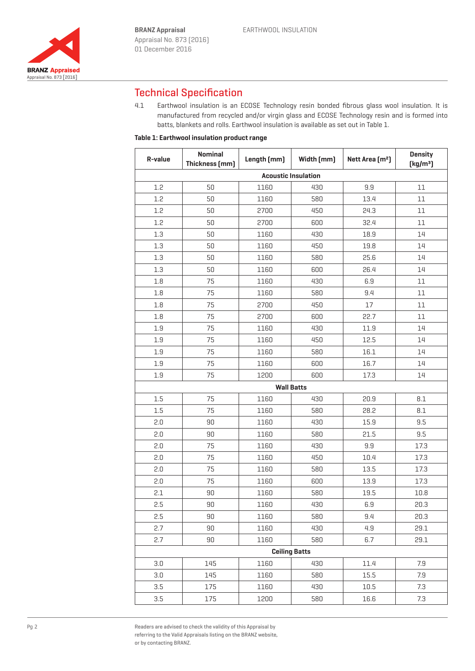

# Technical Specification

4.1 Earthwool insulation is an ECOSE Technology resin bonded fibrous glass wool insulation. It is manufactured from recycled and/or virgin glass and ECOSE Technology resin and is formed into batts, blankets and rolls. Earthwool insulation is available as set out in Table 1.

### **Table 1: Earthwool insulation product range**

| R-value                    | <b>Nominal</b><br>Thickness [mm] | Length [mm] | Width [mm] | Nett Area [m <sup>2</sup> ] | <b>Density</b><br>[kg/m <sup>3</sup> ] |  |  |  |  |
|----------------------------|----------------------------------|-------------|------------|-----------------------------|----------------------------------------|--|--|--|--|
| <b>Acoustic Insulation</b> |                                  |             |            |                             |                                        |  |  |  |  |
| 1.2                        | 50                               | 1160        | 430        | 9.9                         | 11                                     |  |  |  |  |
| 1.2                        | 50                               | 1160        | 580        | 13.4                        | 11                                     |  |  |  |  |
| 1.2                        | 50                               | 2700        | 450        | 24.3                        | 11                                     |  |  |  |  |
| 1.2                        | 50                               | 2700        | 600        | 32.4                        | 11                                     |  |  |  |  |
| 1.3                        | 50                               | 1160        | 430        | 18.9                        | 14                                     |  |  |  |  |
| 1.3                        | 50                               | 1160        | 450        | 19.8                        | 14                                     |  |  |  |  |
| 1.3                        | 50                               | 1160        | 580        | 25.6                        | 14                                     |  |  |  |  |
| 1.3                        | 50                               | 1160        | 600        | 26.4                        | 14                                     |  |  |  |  |
| 1.8                        | 75                               | 1160        | 430        | 6.9                         | 11                                     |  |  |  |  |
| 1.8                        | 75                               | 1160        | 580        | 9.4                         | 11                                     |  |  |  |  |
| 1.8                        | 75                               | 2700        | 450        | 17                          | 11                                     |  |  |  |  |
| 1.8                        | 75                               | 2700        | 600        | 22.7                        | 11                                     |  |  |  |  |
| 1.9                        | 75                               | 1160        | 430        | 11.9                        | 14                                     |  |  |  |  |
| 1.9                        | 75                               | 1160        | 450        | 12.5                        | 14                                     |  |  |  |  |
| 1.9                        | 75                               | 1160        | 580        | 16.1                        | 14                                     |  |  |  |  |
| 1.9                        | 75                               | 1160        | 600        | 16.7                        | 14                                     |  |  |  |  |
| 1.9                        | 75                               | 1200        | 600        | 17.3                        | 14                                     |  |  |  |  |
| <b>Wall Batts</b>          |                                  |             |            |                             |                                        |  |  |  |  |
| 1.5                        | 75                               | 1160        | 430        | 20.9                        | 8.1                                    |  |  |  |  |
| 1.5                        | 75                               | 1160        | 580        | 28.2                        | 8.1                                    |  |  |  |  |
| 2.0                        | 90                               | 1160        | 430        | 15.9                        | 9.5                                    |  |  |  |  |
| 2.0                        | 90                               | 1160        | 580        | 21.5                        | 9.5                                    |  |  |  |  |
| 2.0                        | 75                               | 1160        | 430        | 9.9                         | 17.3                                   |  |  |  |  |
| 2.0                        | 75                               | 1160        | 450        | 10.4                        | 17.3                                   |  |  |  |  |
| 2.0                        | 75                               | 1160        | 580        | 13.5                        | 17.3                                   |  |  |  |  |
| 2.0                        | 75                               | 1160        | 600        | 13.9                        | 17.3                                   |  |  |  |  |
| 2.1                        | 90                               | 1160        | 580        | 19.5                        | 10.8                                   |  |  |  |  |
| 2.5                        | $90\,$                           | 1160        | 430        | 6.9                         | 20.3                                   |  |  |  |  |
| 2.5                        | 90                               | 1160        | 580        | 9.4                         | 20.3                                   |  |  |  |  |
| 2.7                        | 90                               | 1160        | 430        | 4.9                         | 29.1                                   |  |  |  |  |
| 2.7                        | 90                               | 1160        | 580        | 6.7                         | 29.1                                   |  |  |  |  |
| <b>Ceiling Batts</b>       |                                  |             |            |                             |                                        |  |  |  |  |
| 3.0                        | 145                              | 1160        | 430        | 11.4                        | 7.9                                    |  |  |  |  |
| 3.0                        | 145                              | 1160        | 580        | 15.5                        | 7.9                                    |  |  |  |  |
| 3.5                        | 175                              | 1160        | 430        | 10.5                        | 7.3                                    |  |  |  |  |
| 3.5                        | 175                              | 1200        | 580        | 16.6                        | 7.3                                    |  |  |  |  |

Readers are advised to check the validity of this Appraisal by referring to the Valid Appraisals listing on the BRANZ website, or by contacting BRANZ.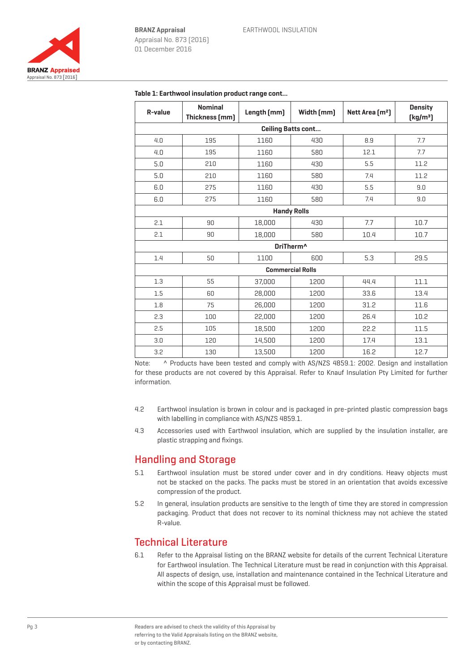$\Gamma$ 



| R-value                   | <b>Nominal</b><br>Thickness [mm] | Length [mm] | Width [mm]              | Nett Area [m <sup>2</sup> ] | <b>Density</b><br>[kg/m <sup>3</sup> ] |  |  |  |
|---------------------------|----------------------------------|-------------|-------------------------|-----------------------------|----------------------------------------|--|--|--|
| <b>Ceiling Batts cont</b> |                                  |             |                         |                             |                                        |  |  |  |
| 4.0                       | 195                              | 1160        | 430                     | 8.9                         | 7.7                                    |  |  |  |
| 4.0                       | 195                              | 1160        | 580                     | 12.1                        | 7.7                                    |  |  |  |
| 5.0                       | 210                              | 1160        | 430                     | 5.5                         | 11.2                                   |  |  |  |
| 5.0                       | 210                              | 1160        | 580                     | 7.4                         | 11.2                                   |  |  |  |
| 6.0                       | 275                              | 1160        | 430                     | 5.5                         | 9.0                                    |  |  |  |
| 6.0                       | 275                              | 1160        | 580                     | 7.4                         | 9.0                                    |  |  |  |
|                           |                                  |             | <b>Handy Rolls</b>      |                             |                                        |  |  |  |
| 2.1                       | 90                               | 18,000      | 430                     | 7.7                         | 10.7                                   |  |  |  |
| 2.1                       | 90                               | 18,000      | 580                     | 10.4                        | 10.7                                   |  |  |  |
|                           |                                  |             | DriTherm <sup>^</sup>   |                             |                                        |  |  |  |
| 1.4                       | 50                               | 1100        | 600                     | 5.3                         | 29.5                                   |  |  |  |
|                           |                                  |             | <b>Commercial Rolls</b> |                             |                                        |  |  |  |
| 1.3                       | 55                               | 37,000      | 1200                    | 44.4                        | 11.1                                   |  |  |  |
| 1.5                       | 60                               | 28,000      | 1200                    | 33.6                        | 13.4                                   |  |  |  |
| 1.8                       | 75                               | 26,000      | 1200                    | 31.2                        | 11.6                                   |  |  |  |
| 2.3                       | 100                              | 22,000      | 1200                    | 26.4                        | 10.2                                   |  |  |  |
| 2.5                       | 105                              | 18,500      | 1200                    | 22.2                        | 11.5                                   |  |  |  |
| 3.0                       | 120                              | 14,500      | 1200                    | 17.4                        | 13.1                                   |  |  |  |
| 3.2                       | 130                              | 13,500      | 1200                    | 16.2                        | 12.7                                   |  |  |  |

#### **Table 1: Earthwool insulation product range cont...**

Note: ^ Products have been tested and comply with AS/NZS 4859.1: 2002. Design and installation for these products are not covered by this Appraisal. Refer to Knauf Insulation Pty Limited for further information.

- 4.2 Earthwool insulation is brown in colour and is packaged in pre-printed plastic compression bags with labelling in compliance with AS/NZS 4859.1.
- 4.3 Accessories used with Earthwool insulation, which are supplied by the insulation installer, are plastic strapping and fixings.

## Handling and Storage

- 5.1 Earthwool insulation must be stored under cover and in dry conditions. Heavy objects must not be stacked on the packs. The packs must be stored in an orientation that avoids excessive compression of the product.
- 5.2 In general, insulation products are sensitive to the length of time they are stored in compression packaging. Product that does not recover to its nominal thickness may not achieve the stated R-value.

## Technical Literature

6.1 Refer to the Appraisal listing on the BRANZ website for details of the current Technical Literature for Earthwool insulation. The Technical Literature must be read in conjunction with this Appraisal. All aspects of design, use, installation and maintenance contained in the Technical Literature and within the scope of this Appraisal must be followed.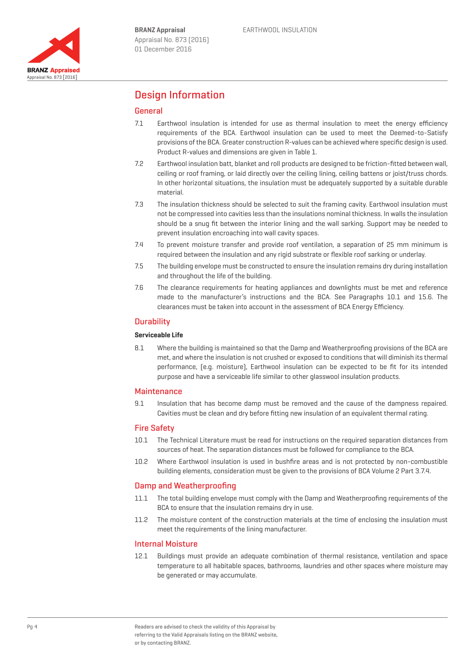

## Design Information

### General

- 7.1 Earthwool insulation is intended for use as thermal insulation to meet the energy efficiency requirements of the BCA. Earthwool insulation can be used to meet the Deemed-to-Satisfy provisions of the BCA. Greater construction R-values can be achieved where specific design is used. Product R-values and dimensions are given in Table 1.
- 7.2 Earthwool insulation batt, blanket and roll products are designed to be friction-fitted between wall, ceiling or roof framing, or laid directly over the ceiling lining, ceiling battens or joist/truss chords. In other horizontal situations, the insulation must be adequately supported by a suitable durable material.
- 7.3 The insulation thickness should be selected to suit the framing cavity. Earthwool insulation must not be compressed into cavities less than the insulations nominal thickness. In walls the insulation should be a snug fit between the interior lining and the wall sarking. Support may be needed to prevent insulation encroaching into wall cavity spaces.
- 7.4 To prevent moisture transfer and provide roof ventilation, a separation of 25 mm minimum is required between the insulation and any rigid substrate or flexible roof sarking or underlay.
- 7.5 The building envelope must be constructed to ensure the insulation remains dry during installation and throughout the life of the building.
- 7.6 The clearance requirements for heating appliances and downlights must be met and reference made to the manufacturer's instructions and the BCA. See Paragraphs 10.1 and 15.6. The clearances must be taken into account in the assessment of BCA Energy Efficiency.

#### **Durability**

#### **Serviceable Life**

8.1 Where the building is maintained so that the Damp and Weatherproofing provisions of the BCA are met, and where the insulation is not crushed or exposed to conditions that will diminish its thermal performance, (e.g. moisture), Earthwool insulation can be expected to be fit for its intended purpose and have a serviceable life similar to other glasswool insulation products.

#### **Maintenance**

9.1 Insulation that has become damp must be removed and the cause of the dampness repaired. Cavities must be clean and dry before fitting new insulation of an equivalent thermal rating.

#### Fire Safety

- 10.1 The Technical Literature must be read for instructions on the required separation distances from sources of heat. The separation distances must be followed for compliance to the BCA.
- 10.2 Where Earthwool insulation is used in bushfire areas and is not protected by non-combustible building elements, consideration must be given to the provisions of BCA Volume 2 Part 3.7.4.

#### Damp and Weatherproofing

- 11.1 The total building envelope must comply with the Damp and Weatherproofing requirements of the BCA to ensure that the insulation remains dry in use.
- 11.2 The moisture content of the construction materials at the time of enclosing the insulation must meet the requirements of the lining manufacturer.

#### Internal Moisture

12.1 Buildings must provide an adequate combination of thermal resistance, ventilation and space temperature to all habitable spaces, bathrooms, laundries and other spaces where moisture may be generated or may accumulate.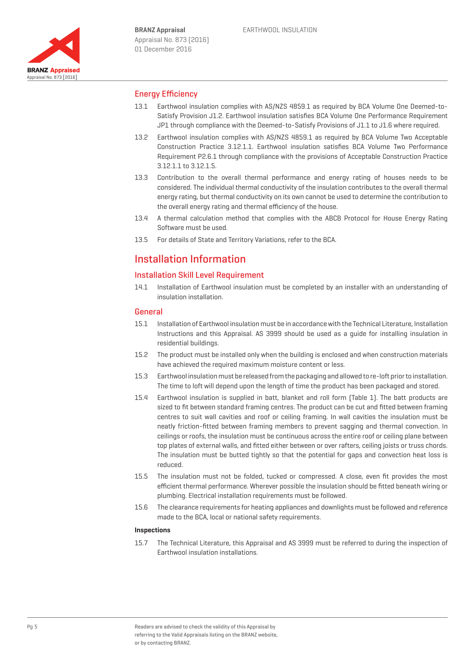

### Energy Efficiency

- 13.1 Earthwool insulation complies with AS/NZS 4859.1 as required by BCA Volume One Deemed-to-Satisfy Provision J1.2. Earthwool insulation satisfies BCA Volume One Performance Requirement JP1 through compliance with the Deemed-to-Satisfy Provisions of J1.1 to J1.6 where required.
- 13.2 Earthwool insulation complies with AS/NZS 4859.1 as required by BCA Volume Two Acceptable Construction Practice 3.12.1.1. Earthwool insulation satisfies BCA Volume Two Performance Requirement P2.6.1 through compliance with the provisions of Acceptable Construction Practice 3.12.1.1 to 3.12.1.5.
- 13.3 Contribution to the overall thermal performance and energy rating of houses needs to be considered. The individual thermal conductivity of the insulation contributes to the overall thermal energy rating, but thermal conductivity on its own cannot be used to determine the contribution to the overall energy rating and thermal efficiency of the house.
- 13.4 A thermal calculation method that complies with the ABCB Protocol for House Energy Rating Software must be used.
- 13.5 For details of State and Territory Variations, refer to the BCA.

## Installation Information

#### Installation Skill Level Requirement

14.1 Installation of Earthwool insulation must be completed by an installer with an understanding of insulation installation.

### General

- 15.1 Installation of Earthwool insulation must be in accordance with the Technical Literature, Installation Instructions and this Appraisal. AS 3999 should be used as a guide for installing insulation in residential buildings.
- 15.2 The product must be installed only when the building is enclosed and when construction materials have achieved the required maximum moisture content or less.
- 15.3 Earthwool insulation must be released from the packaging and allowed to re-loft prior to installation. The time to loft will depend upon the length of time the product has been packaged and stored.
- 15.4 Earthwool insulation is supplied in batt, blanket and roll form (Table 1). The batt products are sized to fit between standard framing centres. The product can be cut and fitted between framing centres to suit wall cavities and roof or ceiling framing. In wall cavities the insulation must be neatly friction-fitted between framing members to prevent sagging and thermal convection. In ceilings or roofs, the insulation must be continuous across the entire roof or ceiling plane between top plates of external walls, and fitted either between or over rafters, ceiling joists or truss chords. The insulation must be butted tightly so that the potential for gaps and convection heat loss is reduced.
- 15.5 The insulation must not be folded, tucked or compressed. A close, even fit provides the most efficient thermal performance. Wherever possible the insulation should be fitted beneath wiring or plumbing. Electrical installation requirements must be followed.
- 15.6 The clearance requirements for heating appliances and downlights must be followed and reference made to the BCA, local or national safety requirements.

#### **Inspections**

15.7 The Technical Literature, this Appraisal and AS 3999 must be referred to during the inspection of Earthwool insulation installations.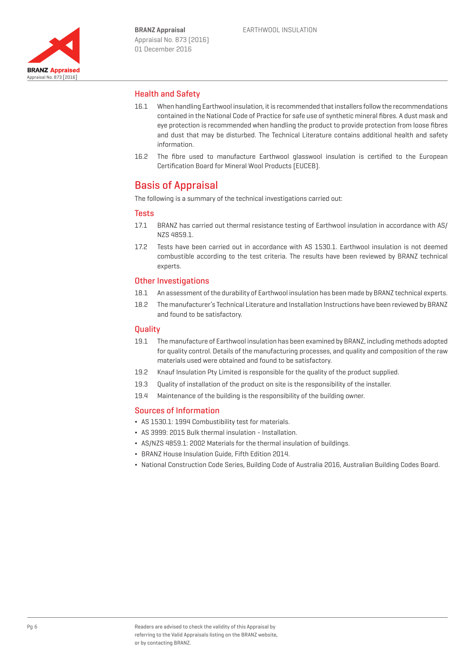

### Health and Safety

- 16.1 When handling Earthwool insulation, it is recommended that installers follow the recommendations contained in the National Code of Practice for safe use of synthetic mineral fibres. A dust mask and eye protection is recommended when handling the product to provide protection from loose fibres and dust that may be disturbed. The Technical Literature contains additional health and safety information.
- 16.2 The fibre used to manufacture Earthwool glasswool insulation is certified to the European Certification Board for Mineral Wool Products (EUCEB).

## Basis of Appraisal

The following is a summary of the technical investigations carried out:

#### **Tests**

- 17.1 BRANZ has carried out thermal resistance testing of Earthwool insulation in accordance with AS/ NZS 4859.1.
- 17.2 Tests have been carried out in accordance with AS 1530.1. Earthwool insulation is not deemed combustible according to the test criteria. The results have been reviewed by BRANZ technical experts.

#### Other Investigations

- 18.1 An assessment of the durability of Earthwool insulation has been made by BRANZ technical experts.
- 18.2 The manufacturer's Technical Literature and Installation Instructions have been reviewed by BRANZ and found to be satisfactory.

#### **Quality**

- 19.1 The manufacture of Earthwool insulation has been examined by BRANZ, including methods adopted for quality control. Details of the manufacturing processes, and quality and composition of the raw materials used were obtained and found to be satisfactory.
- 19.2 Knauf Insulation Pty Limited is responsible for the quality of the product supplied.
- 19.3 Quality of installation of the product on site is the responsibility of the installer.
- 19.4 Maintenance of the building is the responsibility of the building owner.

#### Sources of Information

- ¬ AS 1530.1: 1994 Combustibility test for materials.
- ¬ AS 3999: 2015 Bulk thermal insulation Installation.
- ¬ AS/NZS 4859.1: 2002 Materials for the thermal insulation of buildings.
- ¬ BRANZ House Insulation Guide, Fifth Edition 2014.
- ¬ National Construction Code Series, Building Code of Australia 2016, Australian Building Codes Board.